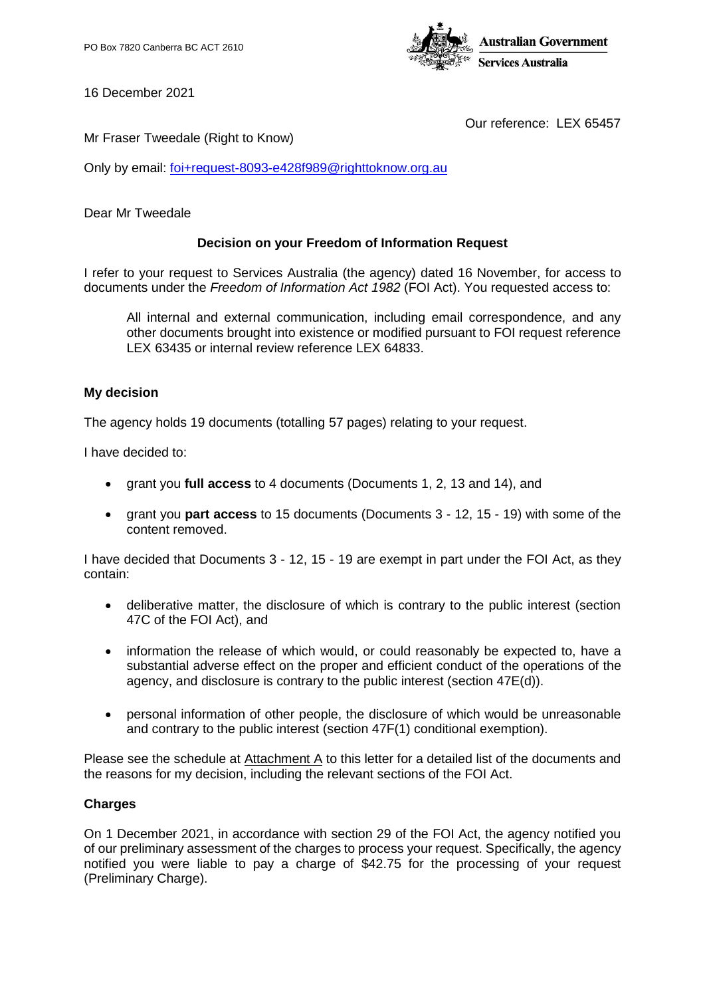

16 December 2021

Our reference: LEX 65457

Mr Fraser Tweedale (Right to Know)

Only by email: [foi+request-8093-e428f989@righttoknow.org.au](mailto:xxxxxxxxxxxxxxxxxxxxxxxxx@xxxxxxxxxxx.xxx.xx)

#### Dear Mr Tweedale

#### **Decision on your Freedom of Information Request**

I refer to your request to Services Australia (the agency) dated 16 November, for access to documents under the *Freedom of Information Act 1982* (FOI Act). You requested access to:

All internal and external communication, including email correspondence, and any other documents brought into existence or modified pursuant to FOI request reference LEX 63435 or internal review reference LEX 64833.

#### **My decision**

The agency holds 19 documents (totalling 57 pages) relating to your request.

I have decided to:

- grant you **full access** to 4 documents (Documents 1, 2, 13 and 14), and
- grant you **part access** to 15 documents (Documents 3 12, 15 19) with some of the content removed.

I have decided that Documents 3 - 12, 15 - 19 are exempt in part under the FOI Act, as they contain:

- deliberative matter, the disclosure of which is contrary to the public interest (section 47C of the FOI Act), and
- information the release of which would, or could reasonably be expected to, have a substantial adverse effect on the proper and efficient conduct of the operations of the agency, and disclosure is contrary to the public interest (section 47E(d)).
- personal information of other people, the disclosure of which would be unreasonable and contrary to the public interest (section 47F(1) conditional exemption).

Please see the schedule at Attachment A to this letter for a detailed list of the documents and the reasons for my decision, including the relevant sections of the FOI Act.

#### **Charges**

On 1 December 2021, in accordance with section 29 of the FOI Act, the agency notified you of our preliminary assessment of the charges to process your request. Specifically, the agency notified you were liable to pay a charge of \$42.75 for the processing of your request (Preliminary Charge).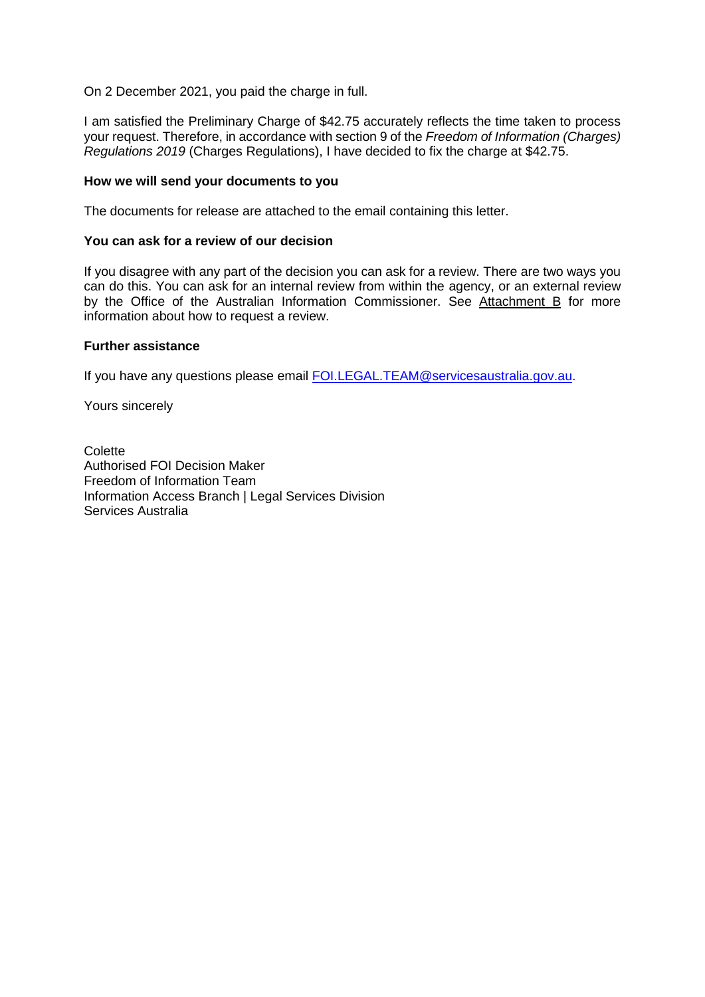On 2 December 2021, you paid the charge in full.

I am satisfied the Preliminary Charge of \$42.75 accurately reflects the time taken to process your request. Therefore, in accordance with section 9 of the *Freedom of Information (Charges) Regulations 2019* (Charges Regulations), I have decided to fix the charge at \$42.75.

#### **How we will send your documents to you**

The documents for release are attached to the email containing this letter.

#### **You can ask for a review of our decision**

If you disagree with any part of the decision you can ask for a review. There are two ways you can do this. You can ask for an internal review from within the agency, or an external review by the Office of the Australian Information Commissioner. See Attachment B for more information about how to request a review.

#### **Further assistance**

If you have any questions please email [FOI.LEGAL.TEAM@servicesaustralia.gov.au.](mailto:xxx.xxxxx.xxxx@xxxxxxxxxxxxxxxxx.xxx.xx)

Yours sincerely

Colette Authorised FOI Decision Maker Freedom of Information Team Information Access Branch | Legal Services Division Services Australia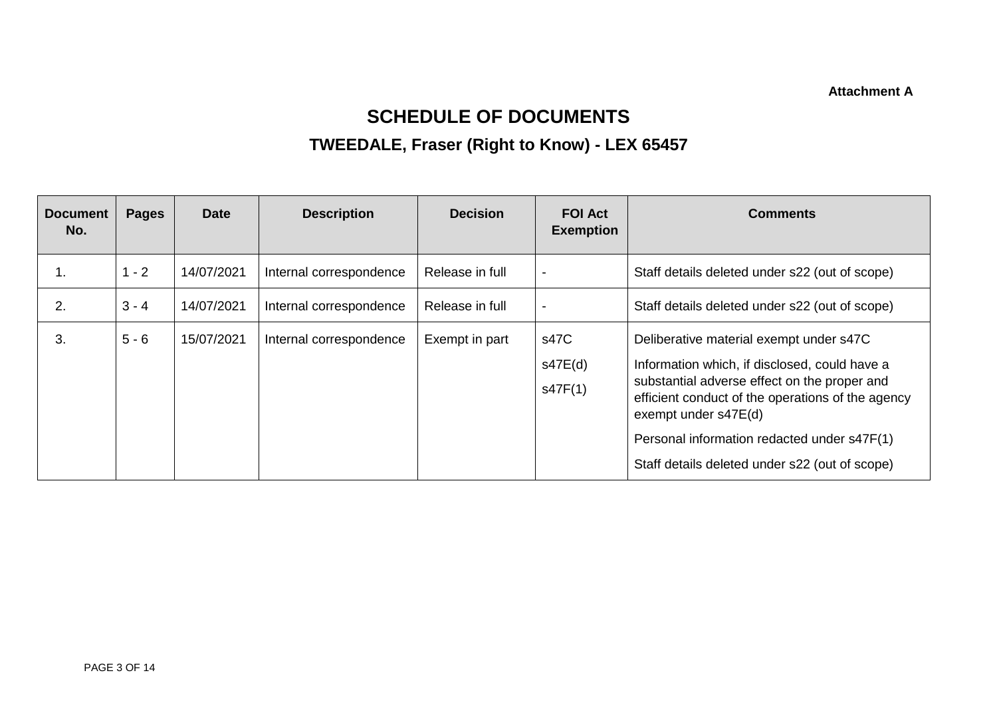**Attachment A**

# **SCHEDULE OF DOCUMENTS**

# **TWEEDALE, Fraser (Right to Know) - LEX 65457**

| <b>Document</b><br>No. | <b>Pages</b> | <b>Date</b> | <b>Description</b>      | <b>Decision</b> | <b>FOI Act</b><br><b>Exemption</b> | <b>Comments</b>                                                                                                                                                                                                                                                                                                        |
|------------------------|--------------|-------------|-------------------------|-----------------|------------------------------------|------------------------------------------------------------------------------------------------------------------------------------------------------------------------------------------------------------------------------------------------------------------------------------------------------------------------|
| Ί.                     | $1 - 2$      | 14/07/2021  | Internal correspondence | Release in full | $\overline{\phantom{a}}$           | Staff details deleted under s22 (out of scope)                                                                                                                                                                                                                                                                         |
| 2.                     | $3 - 4$      | 14/07/2021  | Internal correspondence | Release in full | $\blacksquare$                     | Staff details deleted under s22 (out of scope)                                                                                                                                                                                                                                                                         |
| 3.                     | $5 - 6$      | 15/07/2021  | Internal correspondence | Exempt in part  | s47C<br>s47E(d)<br>s47F(1)         | Deliberative material exempt under s47C<br>Information which, if disclosed, could have a<br>substantial adverse effect on the proper and<br>efficient conduct of the operations of the agency<br>exempt under s47E(d)<br>Personal information redacted under s47F(1)<br>Staff details deleted under s22 (out of scope) |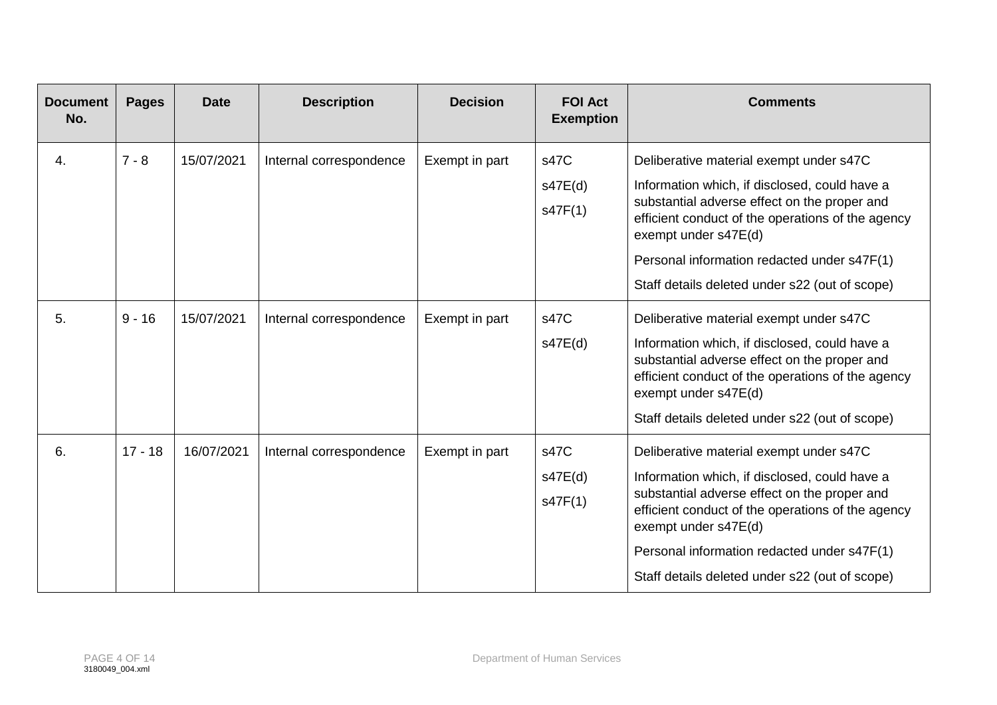| <b>Document</b><br>No. | <b>Pages</b> | <b>Date</b> | <b>Description</b>      | <b>Decision</b> | <b>FOI Act</b><br><b>Exemption</b> | <b>Comments</b>                                                                                                                                                                                                                                                                                                        |
|------------------------|--------------|-------------|-------------------------|-----------------|------------------------------------|------------------------------------------------------------------------------------------------------------------------------------------------------------------------------------------------------------------------------------------------------------------------------------------------------------------------|
| 4.                     | $7 - 8$      | 15/07/2021  | Internal correspondence | Exempt in part  | s47C<br>s47E(d)<br>s47F(1)         | Deliberative material exempt under s47C<br>Information which, if disclosed, could have a<br>substantial adverse effect on the proper and<br>efficient conduct of the operations of the agency<br>exempt under s47E(d)<br>Personal information redacted under s47F(1)<br>Staff details deleted under s22 (out of scope) |
| 5.                     | $9 - 16$     | 15/07/2021  | Internal correspondence | Exempt in part  | s47C<br>s47E(d)                    | Deliberative material exempt under s47C<br>Information which, if disclosed, could have a<br>substantial adverse effect on the proper and<br>efficient conduct of the operations of the agency<br>exempt under s47E(d)<br>Staff details deleted under s22 (out of scope)                                                |
| 6.                     | $17 - 18$    | 16/07/2021  | Internal correspondence | Exempt in part  | s47C<br>s47E(d)<br>s47F(1)         | Deliberative material exempt under s47C<br>Information which, if disclosed, could have a<br>substantial adverse effect on the proper and<br>efficient conduct of the operations of the agency<br>exempt under s47E(d)<br>Personal information redacted under s47F(1)<br>Staff details deleted under s22 (out of scope) |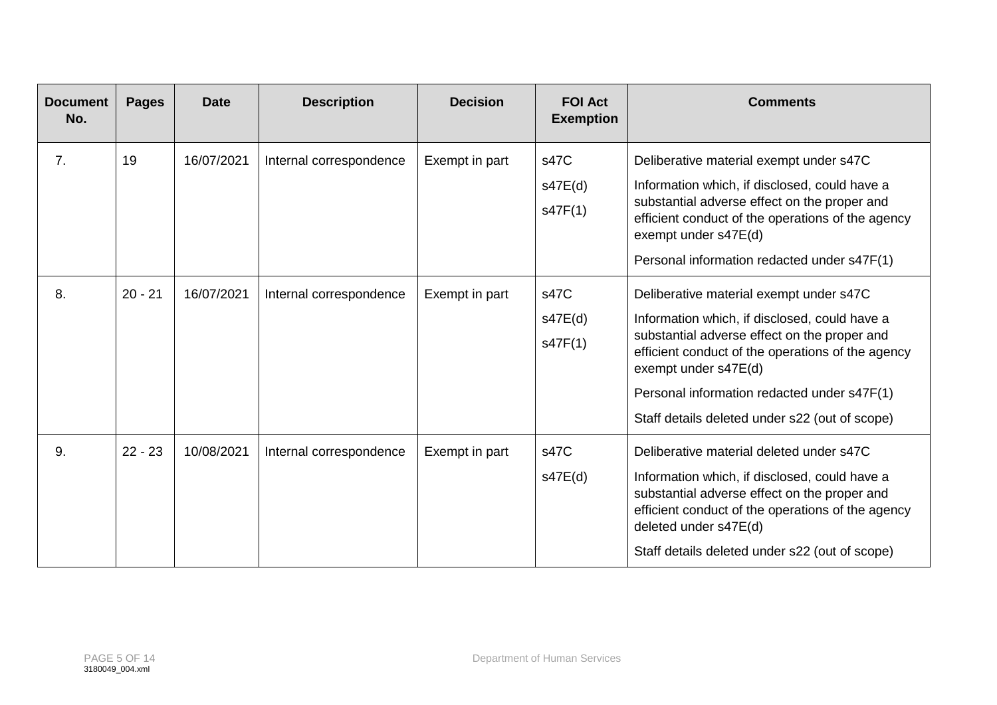| <b>Document</b><br>No. | <b>Pages</b> | <b>Date</b> | <b>Description</b>      | <b>Decision</b> | <b>FOI Act</b><br><b>Exemption</b> | <b>Comments</b>                                                                                                                                                                                                                                                                                                        |
|------------------------|--------------|-------------|-------------------------|-----------------|------------------------------------|------------------------------------------------------------------------------------------------------------------------------------------------------------------------------------------------------------------------------------------------------------------------------------------------------------------------|
| 7.                     | 19           | 16/07/2021  | Internal correspondence | Exempt in part  | s47C<br>s47E(d)<br>s47F(1)         | Deliberative material exempt under s47C<br>Information which, if disclosed, could have a<br>substantial adverse effect on the proper and<br>efficient conduct of the operations of the agency<br>exempt under s47E(d)<br>Personal information redacted under s47F(1)                                                   |
| 8.                     | $20 - 21$    | 16/07/2021  | Internal correspondence | Exempt in part  | s47C<br>s47E(d)<br>s47F(1)         | Deliberative material exempt under s47C<br>Information which, if disclosed, could have a<br>substantial adverse effect on the proper and<br>efficient conduct of the operations of the agency<br>exempt under s47E(d)<br>Personal information redacted under s47F(1)<br>Staff details deleted under s22 (out of scope) |
| 9.                     | $22 - 23$    | 10/08/2021  | Internal correspondence | Exempt in part  | s47C<br>s47E(d)                    | Deliberative material deleted under s47C<br>Information which, if disclosed, could have a<br>substantial adverse effect on the proper and<br>efficient conduct of the operations of the agency<br>deleted under s47E(d)<br>Staff details deleted under s22 (out of scope)                                              |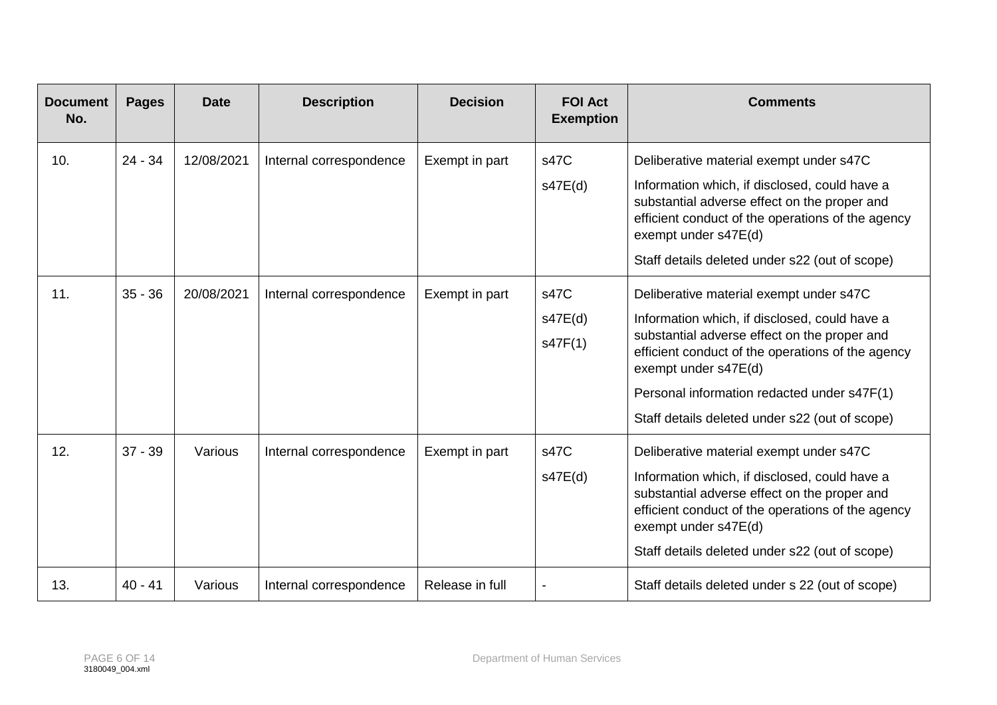| <b>Document</b><br>No. | <b>Pages</b> | <b>Date</b> | <b>Description</b>      | <b>Decision</b> | <b>FOI Act</b><br><b>Exemption</b> | <b>Comments</b>                                                                                                                                                                                                                                                                                                        |
|------------------------|--------------|-------------|-------------------------|-----------------|------------------------------------|------------------------------------------------------------------------------------------------------------------------------------------------------------------------------------------------------------------------------------------------------------------------------------------------------------------------|
| 10.                    | $24 - 34$    | 12/08/2021  | Internal correspondence | Exempt in part  | s47C<br>s47E(d)                    | Deliberative material exempt under s47C<br>Information which, if disclosed, could have a<br>substantial adverse effect on the proper and<br>efficient conduct of the operations of the agency<br>exempt under s47E(d)<br>Staff details deleted under s22 (out of scope)                                                |
| 11.                    | $35 - 36$    | 20/08/2021  | Internal correspondence | Exempt in part  | s47C<br>s47E(d)<br>s47F(1)         | Deliberative material exempt under s47C<br>Information which, if disclosed, could have a<br>substantial adverse effect on the proper and<br>efficient conduct of the operations of the agency<br>exempt under s47E(d)<br>Personal information redacted under s47F(1)<br>Staff details deleted under s22 (out of scope) |
| 12.                    | $37 - 39$    | Various     | Internal correspondence | Exempt in part  | s47C<br>s47E(d)                    | Deliberative material exempt under s47C<br>Information which, if disclosed, could have a<br>substantial adverse effect on the proper and<br>efficient conduct of the operations of the agency<br>exempt under s47E(d)<br>Staff details deleted under s22 (out of scope)                                                |
| 13.                    | $40 - 41$    | Various     | Internal correspondence | Release in full |                                    | Staff details deleted under s 22 (out of scope)                                                                                                                                                                                                                                                                        |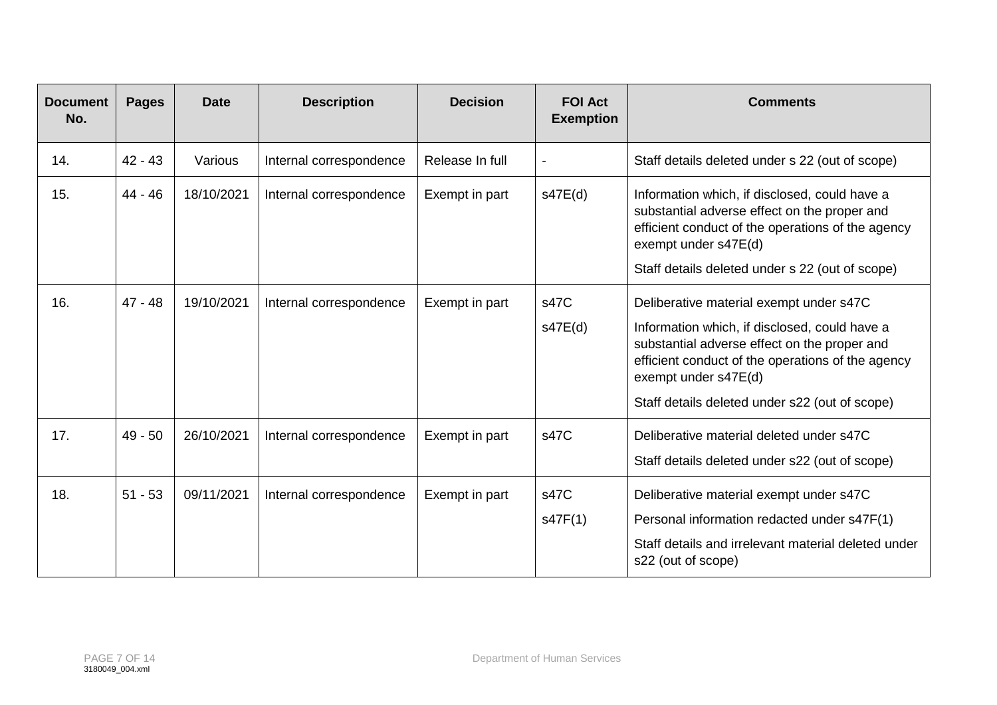| <b>Document</b><br>No. | <b>Pages</b> | <b>Date</b> | <b>Description</b>      | <b>Decision</b> | <b>FOI Act</b><br><b>Exemption</b> | <b>Comments</b>                                                                                                                                                                                                                                                         |
|------------------------|--------------|-------------|-------------------------|-----------------|------------------------------------|-------------------------------------------------------------------------------------------------------------------------------------------------------------------------------------------------------------------------------------------------------------------------|
| 14.                    | $42 - 43$    | Various     | Internal correspondence | Release In full |                                    | Staff details deleted under s 22 (out of scope)                                                                                                                                                                                                                         |
| 15.                    | $44 - 46$    | 18/10/2021  | Internal correspondence | Exempt in part  | s47E(d)                            | Information which, if disclosed, could have a<br>substantial adverse effect on the proper and<br>efficient conduct of the operations of the agency<br>exempt under s47E(d)<br>Staff details deleted under s 22 (out of scope)                                           |
| 16.                    | $47 - 48$    | 19/10/2021  | Internal correspondence | Exempt in part  | s47C<br>s47E(d)                    | Deliberative material exempt under s47C<br>Information which, if disclosed, could have a<br>substantial adverse effect on the proper and<br>efficient conduct of the operations of the agency<br>exempt under s47E(d)<br>Staff details deleted under s22 (out of scope) |
| 17.                    | $49 - 50$    | 26/10/2021  | Internal correspondence | Exempt in part  | s47C                               | Deliberative material deleted under s47C<br>Staff details deleted under s22 (out of scope)                                                                                                                                                                              |
| 18.                    | $51 - 53$    | 09/11/2021  | Internal correspondence | Exempt in part  | s47C<br>s47F(1)                    | Deliberative material exempt under s47C<br>Personal information redacted under s47F(1)<br>Staff details and irrelevant material deleted under<br>s22 (out of scope)                                                                                                     |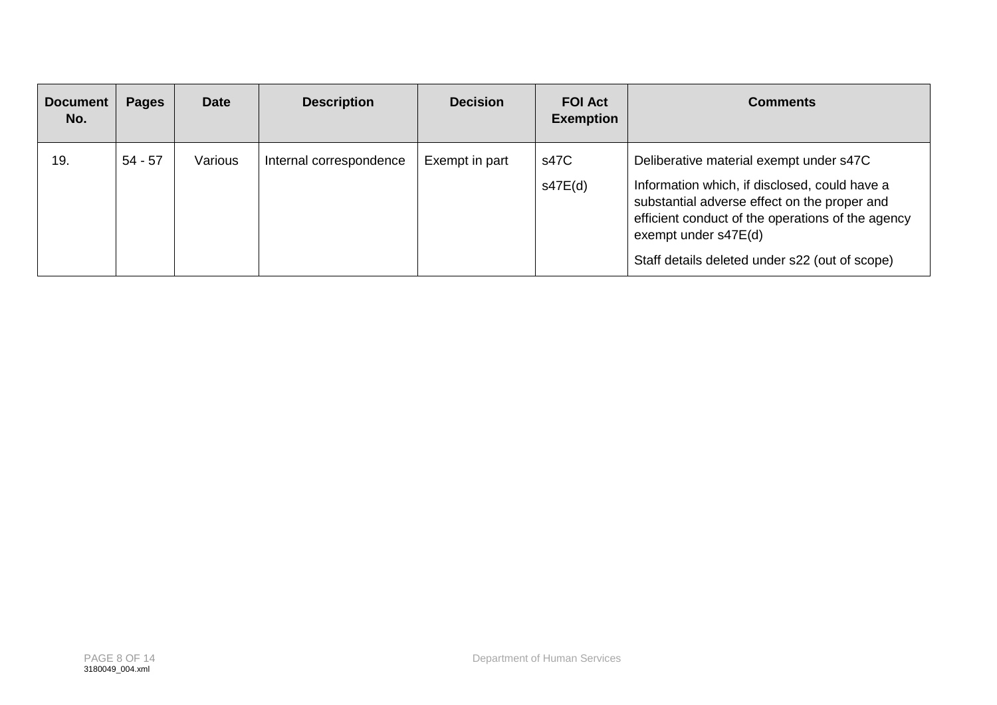| <b>Document</b><br>No. | <b>Pages</b> | <b>Date</b> | <b>Description</b>      | <b>Decision</b> | <b>FOI Act</b><br><b>Exemption</b> | <b>Comments</b>                                                                                                                                                                                                                                                         |
|------------------------|--------------|-------------|-------------------------|-----------------|------------------------------------|-------------------------------------------------------------------------------------------------------------------------------------------------------------------------------------------------------------------------------------------------------------------------|
| 19.                    | $54 - 57$    | Various     | Internal correspondence | Exempt in part  | s47C<br>s47E(d)                    | Deliberative material exempt under s47C<br>Information which, if disclosed, could have a<br>substantial adverse effect on the proper and<br>efficient conduct of the operations of the agency<br>exempt under s47E(d)<br>Staff details deleted under s22 (out of scope) |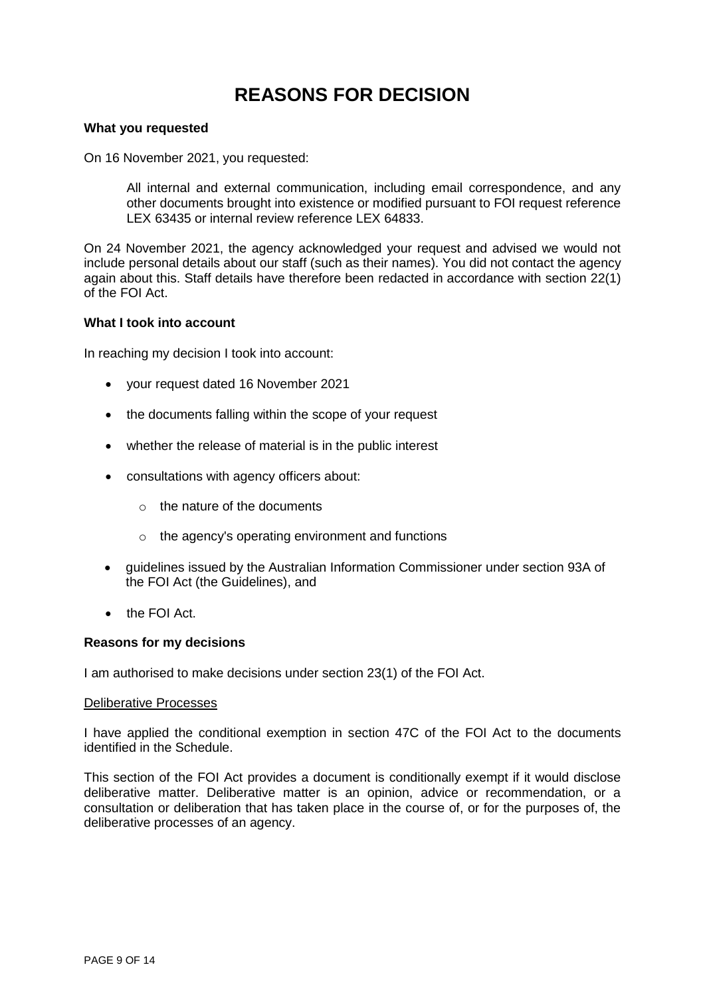## **REASONS FOR DECISION**

#### **What you requested**

On 16 November 2021, you requested:

All internal and external communication, including email correspondence, and any other documents brought into existence or modified pursuant to FOI request reference LEX 63435 or internal review reference LEX 64833.

On 24 November 2021, the agency acknowledged your request and advised we would not include personal details about our staff (such as their names). You did not contact the agency again about this. Staff details have therefore been redacted in accordance with section 22(1) of the FOI Act.

#### **What I took into account**

In reaching my decision I took into account:

- your request dated 16 November 2021
- the documents falling within the scope of your request
- whether the release of material is in the public interest
- consultations with agency officers about:
	- $\circ$  the nature of the documents
	- o the agency's operating environment and functions
- guidelines issued by the Australian Information Commissioner under section 93A of the FOI Act (the Guidelines), and
- the FOI Act.

#### **Reasons for my decisions**

I am authorised to make decisions under section 23(1) of the FOI Act.

#### Deliberative Processes

I have applied the conditional exemption in section 47C of the FOI Act to the documents identified in the Schedule.

This section of the FOI Act provides a document is conditionally exempt if it would disclose deliberative matter. Deliberative matter is an opinion, advice or recommendation, or a consultation or deliberation that has taken place in the course of, or for the purposes of, the deliberative processes of an agency.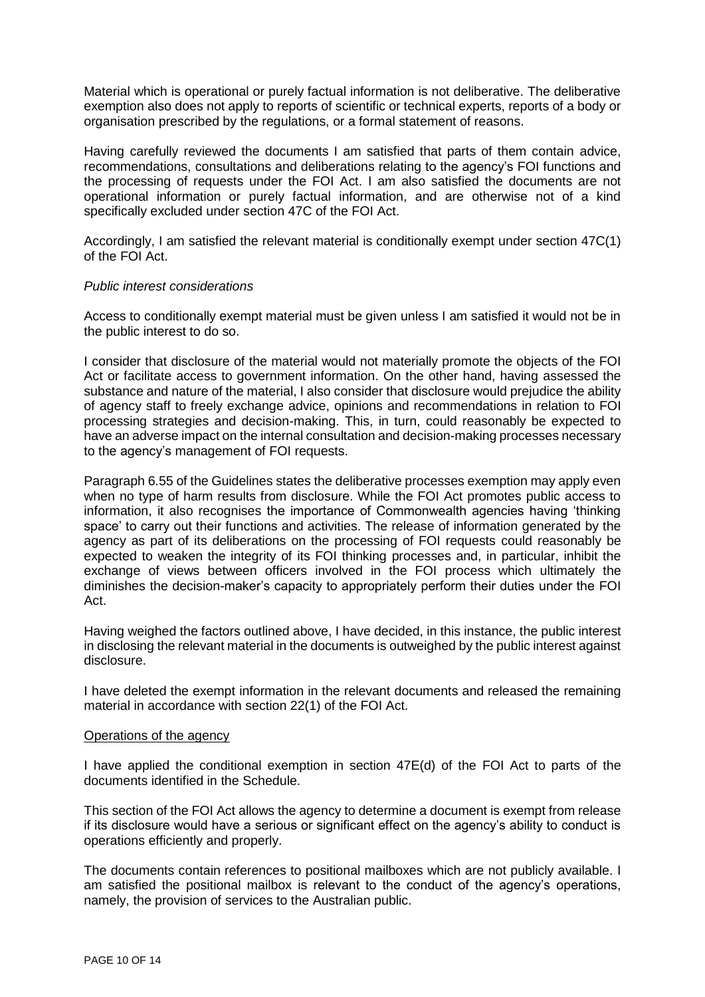Material which is operational or purely factual information is not deliberative. The deliberative exemption also does not apply to reports of scientific or technical experts, reports of a body or organisation prescribed by the regulations, or a formal statement of reasons.

Having carefully reviewed the documents I am satisfied that parts of them contain advice, recommendations, consultations and deliberations relating to the agency's FOI functions and the processing of requests under the FOI Act. I am also satisfied the documents are not operational information or purely factual information, and are otherwise not of a kind specifically excluded under section 47C of the FOI Act.

Accordingly, I am satisfied the relevant material is conditionally exempt under section 47C(1) of the FOI Act.

#### *Public interest considerations*

Access to conditionally exempt material must be given unless I am satisfied it would not be in the public interest to do so.

I consider that disclosure of the material would not materially promote the objects of the FOI Act or facilitate access to government information. On the other hand, having assessed the substance and nature of the material, I also consider that disclosure would prejudice the ability of agency staff to freely exchange advice, opinions and recommendations in relation to FOI processing strategies and decision-making. This, in turn, could reasonably be expected to have an adverse impact on the internal consultation and decision-making processes necessary to the agency's management of FOI requests.

Paragraph 6.55 of the Guidelines states the deliberative processes exemption may apply even when no type of harm results from disclosure. While the FOI Act promotes public access to information, it also recognises the importance of Commonwealth agencies having 'thinking space' to carry out their functions and activities. The release of information generated by the agency as part of its deliberations on the processing of FOI requests could reasonably be expected to weaken the integrity of its FOI thinking processes and, in particular, inhibit the exchange of views between officers involved in the FOI process which ultimately the diminishes the decision-maker's capacity to appropriately perform their duties under the FOI Act.

Having weighed the factors outlined above, I have decided, in this instance, the public interest in disclosing the relevant material in the documents is outweighed by the public interest against disclosure.

I have deleted the exempt information in the relevant documents and released the remaining material in accordance with section 22(1) of the FOI Act.

#### Operations of the agency

I have applied the conditional exemption in section 47E(d) of the FOI Act to parts of the documents identified in the Schedule.

This section of the FOI Act allows the agency to determine a document is exempt from release if its disclosure would have a serious or significant effect on the agency's ability to conduct is operations efficiently and properly.

The documents contain references to positional mailboxes which are not publicly available. I am satisfied the positional mailbox is relevant to the conduct of the agency's operations, namely, the provision of services to the Australian public.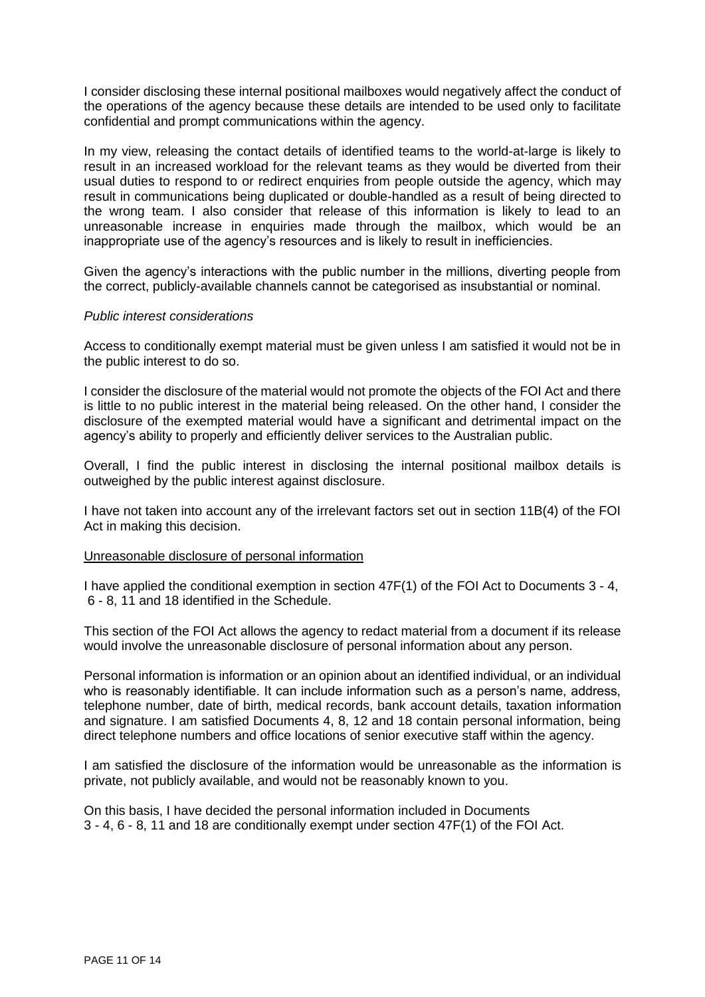I consider disclosing these internal positional mailboxes would negatively affect the conduct of the operations of the agency because these details are intended to be used only to facilitate confidential and prompt communications within the agency.

In my view, releasing the contact details of identified teams to the world-at-large is likely to result in an increased workload for the relevant teams as they would be diverted from their usual duties to respond to or redirect enquiries from people outside the agency, which may result in communications being duplicated or double-handled as a result of being directed to the wrong team. I also consider that release of this information is likely to lead to an unreasonable increase in enquiries made through the mailbox, which would be an inappropriate use of the agency's resources and is likely to result in inefficiencies.

Given the agency's interactions with the public number in the millions, diverting people from the correct, publicly-available channels cannot be categorised as insubstantial or nominal.

#### *Public interest considerations*

Access to conditionally exempt material must be given unless I am satisfied it would not be in the public interest to do so.

I consider the disclosure of the material would not promote the objects of the FOI Act and there is little to no public interest in the material being released. On the other hand, I consider the disclosure of the exempted material would have a significant and detrimental impact on the agency's ability to properly and efficiently deliver services to the Australian public.

Overall, I find the public interest in disclosing the internal positional mailbox details is outweighed by the public interest against disclosure.

I have not taken into account any of the irrelevant factors set out in section 11B(4) of the FOI Act in making this decision.

#### Unreasonable disclosure of personal information

I have applied the conditional exemption in section 47F(1) of the FOI Act to Documents 3 - 4, 6 - 8, 11 and 18 identified in the Schedule.

This section of the FOI Act allows the agency to redact material from a document if its release would involve the unreasonable disclosure of personal information about any person.

Personal information is information or an opinion about an identified individual, or an individual who is reasonably identifiable. It can include information such as a person's name, address, telephone number, date of birth, medical records, bank account details, taxation information and signature. I am satisfied Documents 4, 8, 12 and 18 contain personal information, being direct telephone numbers and office locations of senior executive staff within the agency.

I am satisfied the disclosure of the information would be unreasonable as the information is private, not publicly available, and would not be reasonably known to you.

On this basis, I have decided the personal information included in Documents 3 - 4, 6 - 8, 11 and 18 are conditionally exempt under section 47F(1) of the FOI Act.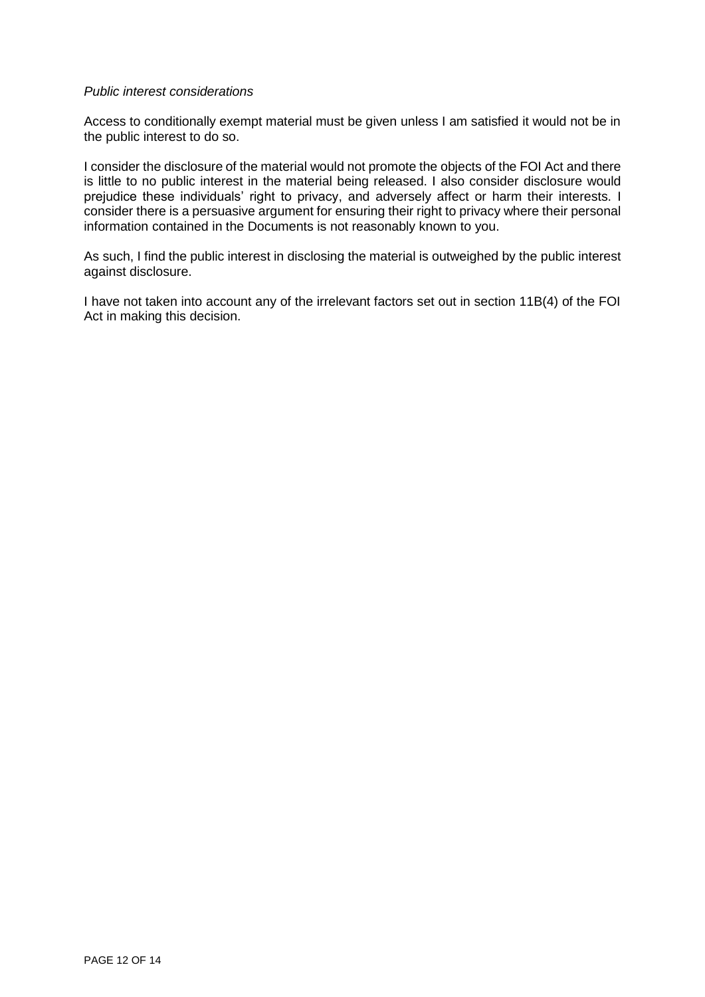#### *Public interest considerations*

Access to conditionally exempt material must be given unless I am satisfied it would not be in the public interest to do so.

I consider the disclosure of the material would not promote the objects of the FOI Act and there is little to no public interest in the material being released. I also consider disclosure would prejudice these individuals' right to privacy, and adversely affect or harm their interests. I consider there is a persuasive argument for ensuring their right to privacy where their personal information contained in the Documents is not reasonably known to you.

As such, I find the public interest in disclosing the material is outweighed by the public interest against disclosure.

I have not taken into account any of the irrelevant factors set out in section 11B(4) of the FOI Act in making this decision.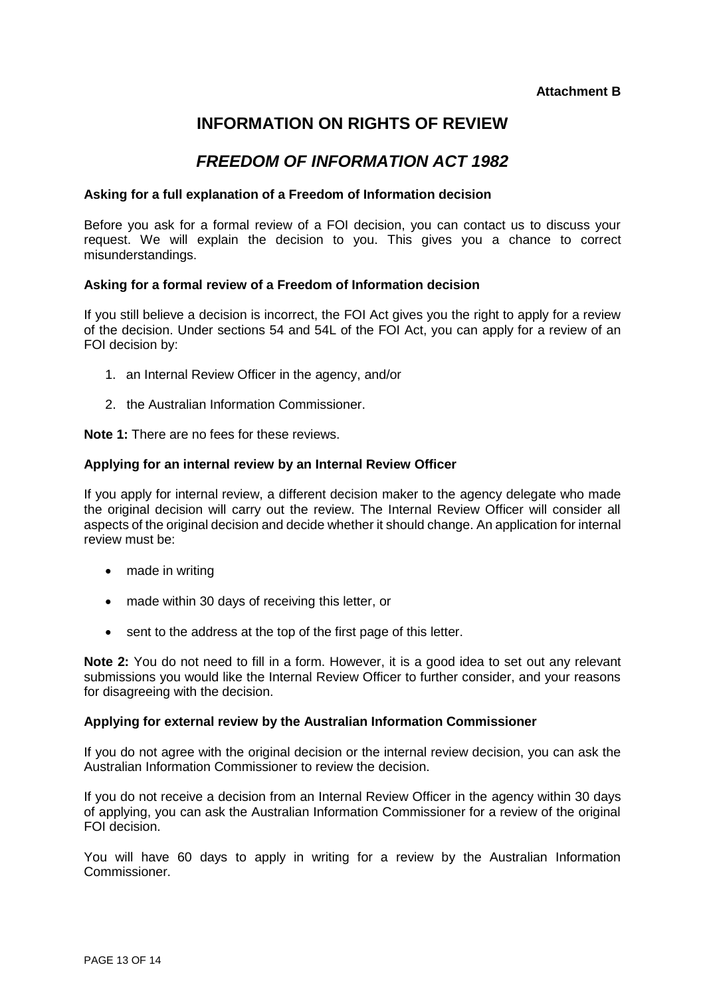### **INFORMATION ON RIGHTS OF REVIEW**

### *FREEDOM OF INFORMATION ACT 1982*

#### **Asking for a full explanation of a Freedom of Information decision**

Before you ask for a formal review of a FOI decision, you can contact us to discuss your request. We will explain the decision to you. This gives you a chance to correct misunderstandings.

#### **Asking for a formal review of a Freedom of Information decision**

If you still believe a decision is incorrect, the FOI Act gives you the right to apply for a review of the decision. Under sections 54 and 54L of the FOI Act, you can apply for a review of an FOI decision by:

- 1. an Internal Review Officer in the agency, and/or
- 2. the Australian Information Commissioner.

**Note 1:** There are no fees for these reviews.

#### **Applying for an internal review by an Internal Review Officer**

If you apply for internal review, a different decision maker to the agency delegate who made the original decision will carry out the review. The Internal Review Officer will consider all aspects of the original decision and decide whether it should change. An application for internal review must be:

- made in writing
- made within 30 days of receiving this letter, or
- sent to the address at the top of the first page of this letter.

**Note 2:** You do not need to fill in a form. However, it is a good idea to set out any relevant submissions you would like the Internal Review Officer to further consider, and your reasons for disagreeing with the decision.

#### **Applying for external review by the Australian Information Commissioner**

If you do not agree with the original decision or the internal review decision, you can ask the Australian Information Commissioner to review the decision.

If you do not receive a decision from an Internal Review Officer in the agency within 30 days of applying, you can ask the Australian Information Commissioner for a review of the original FOI decision.

You will have 60 days to apply in writing for a review by the Australian Information Commissioner.